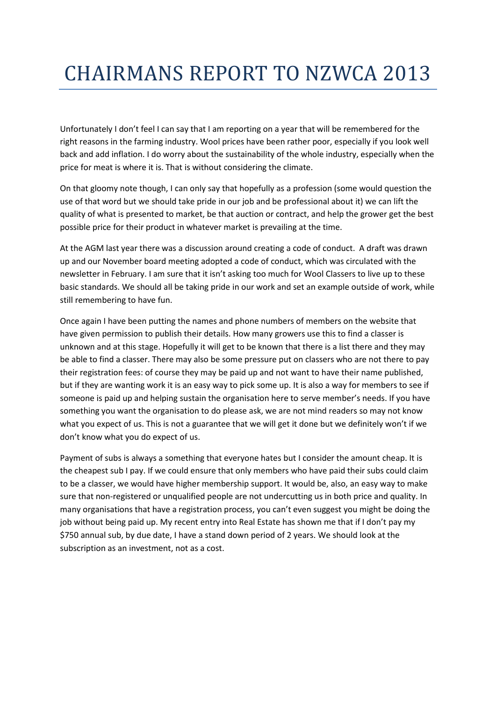## CHAIRMANS REPORT TO NZWCA 2013

Unfortunately I don't feel I can say that I am reporting on a year that will be remembered for the right reasons in the farming industry. Wool prices have been rather poor, especially if you look well back and add inflation. I do worry about the sustainability of the whole industry, especially when the price for meat is where it is. That is without considering the climate.

On that gloomy note though, I can only say that hopefully as a profession (some would question the use of that word but we should take pride in our job and be professional about it) we can lift the quality of what is presented to market, be that auction or contract, and help the grower get the best possible price for their product in whatever market is prevailing at the time.

At the AGM last year there was a discussion around creating a code of conduct. A draft was drawn up and our November board meeting adopted a code of conduct, which was circulated with the newsletter in February. I am sure that it isn't asking too much for Wool Classers to live up to these basic standards. We should all be taking pride in our work and set an example outside of work, while still remembering to have fun.

Once again I have been putting the names and phone numbers of members on the website that have given permission to publish their details. How many growers use this to find a classer is unknown and at this stage. Hopefully it will get to be known that there is a list there and they may be able to find a classer. There may also be some pressure put on classers who are not there to pay their registration fees: of course they may be paid up and not want to have their name published, but if they are wanting work it is an easy way to pick some up. It is also a way for members to see if someone is paid up and helping sustain the organisation here to serve member's needs. If you have something you want the organisation to do please ask, we are not mind readers so may not know what you expect of us. This is not a guarantee that we will get it done but we definitely won't if we don't know what you do expect of us.

Payment of subs is always a something that everyone hates but I consider the amount cheap. It is the cheapest sub I pay. If we could ensure that only members who have paid their subs could claim to be a classer, we would have higher membership support. It would be, also, an easy way to make sure that non-registered or unqualified people are not undercutting us in both price and quality. In many organisations that have a registration process, you can't even suggest you might be doing the job without being paid up. My recent entry into Real Estate has shown me that if I don't pay my \$750 annual sub, by due date, I have a stand down period of 2 years. We should look at the subscription as an investment, not as a cost.